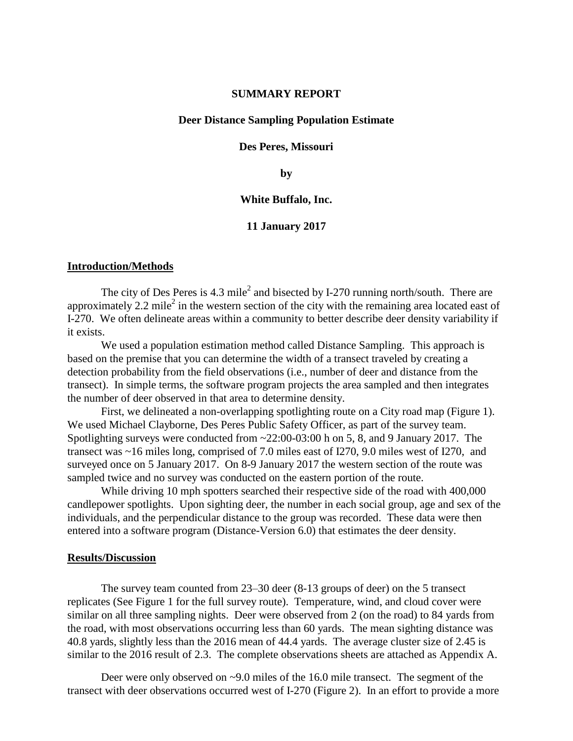## **SUMMARY REPORT**

## **Deer Distance Sampling Population Estimate**

#### **Des Peres, Missouri**

**by**

# **White Buffalo, Inc.**

## **11 January 2017**

#### **Introduction/Methods**

The city of Des Peres is 4.3 mile<sup>2</sup> and bisected by I-270 running north/south. There are approximately 2.2 mile<sup>2</sup> in the western section of the city with the remaining area located east of I-270. We often delineate areas within a community to better describe deer density variability if it exists.

We used a population estimation method called Distance Sampling. This approach is based on the premise that you can determine the width of a transect traveled by creating a detection probability from the field observations (i.e., number of deer and distance from the transect). In simple terms, the software program projects the area sampled and then integrates the number of deer observed in that area to determine density.

First, we delineated a non-overlapping spotlighting route on a City road map (Figure 1). We used Michael Clayborne, Des Peres Public Safety Officer, as part of the survey team. Spotlighting surveys were conducted from ~22:00-03:00 h on 5, 8, and 9 January 2017. The transect was ~16 miles long, comprised of 7.0 miles east of I270, 9.0 miles west of I270, and surveyed once on 5 January 2017. On 8-9 January 2017 the western section of the route was sampled twice and no survey was conducted on the eastern portion of the route.

While driving 10 mph spotters searched their respective side of the road with 400,000 candlepower spotlights. Upon sighting deer, the number in each social group, age and sex of the individuals, and the perpendicular distance to the group was recorded. These data were then entered into a software program (Distance-Version 6.0) that estimates the deer density.

#### **Results/Discussion**

The survey team counted from 23–30 deer (8-13 groups of deer) on the 5 transect replicates (See Figure 1 for the full survey route). Temperature, wind, and cloud cover were similar on all three sampling nights. Deer were observed from 2 (on the road) to 84 yards from the road, with most observations occurring less than 60 yards. The mean sighting distance was 40.8 yards, slightly less than the 2016 mean of 44.4 yards. The average cluster size of 2.45 is similar to the 2016 result of 2.3. The complete observations sheets are attached as Appendix A.

Deer were only observed on ~9.0 miles of the 16.0 mile transect. The segment of the transect with deer observations occurred west of I-270 (Figure 2). In an effort to provide a more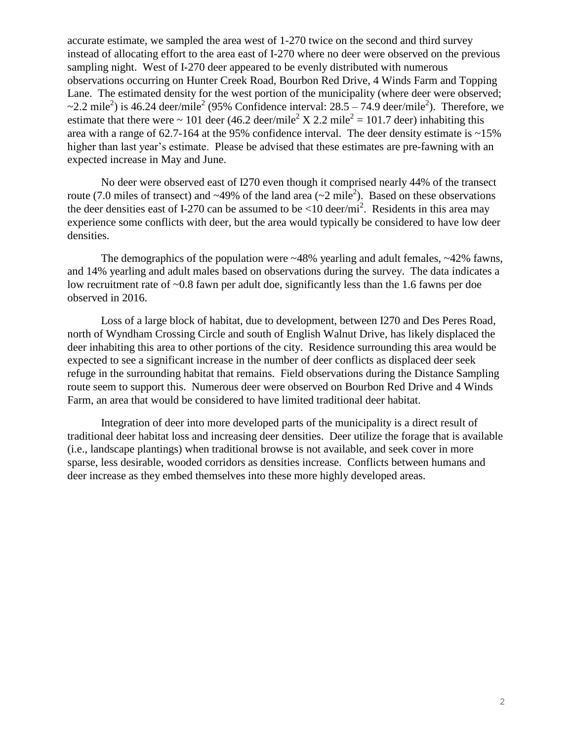accurate estimate, we sampled the area west of 1-270 twice on the second and third survey instead of allocating effort to the area east of I-270 where no deer were observed on the previous sampling night. West of I-270 deer appeared to be evenly distributed with numerous observations occurring on Hunter Creek Road, Bourbon Red Drive, 4 Winds Farm and Topping Lane. The estimated density for the west portion of the municipality (where deer were observed;  $\sim$ 2.2 mile<sup>2</sup>) is 46.24 deer/mile<sup>2</sup> (95% Confidence interval: 28.5 – 74.9 deer/mile<sup>2</sup>). Therefore, we estimate that there were  $\sim 101$  deer (46.2 deer/mile<sup>2</sup> X 2.2 mile<sup>2</sup> = 101.7 deer) inhabiting this area with a range of 62.7-164 at the 95% confidence interval. The deer density estimate is ~15% higher than last year's estimate. Please be advised that these estimates are pre-fawning with an expected increase in May and June.

No deer were observed east of I270 even though it comprised nearly 44% of the transect route (7.0 miles of transect) and ~49% of the land area (~2 mile<sup>2</sup>). Based on these observations the deer densities east of I-270 can be assumed to be  $\langle 10 \text{ deer/mi}^2 \rangle$ . Residents in this area may experience some conflicts with deer, but the area would typically be considered to have low deer densities.

The demographics of the population were ~48% yearling and adult females, ~42% fawns, and 14% yearling and adult males based on observations during the survey. The data indicates a low recruitment rate of ~0.8 fawn per adult doe, significantly less than the 1.6 fawns per doe observed in 2016.

Loss of a large block of habitat, due to development, between I270 and Des Peres Road, north of Wyndham Crossing Circle and south of English Walnut Drive, has likely displaced the deer inhabiting this area to other portions of the city. Residence surrounding this area would be expected to see a significant increase in the number of deer conflicts as displaced deer seek refuge in the surrounding habitat that remains. Field observations during the Distance Sampling route seem to support this. Numerous deer were observed on Bourbon Red Drive and 4 Winds Farm, an area that would be considered to have limited traditional deer habitat.

Integration of deer into more developed parts of the municipality is a direct result of traditional deer habitat loss and increasing deer densities. Deer utilize the forage that is available (i.e., landscape plantings) when traditional browse is not available, and seek cover in more sparse, less desirable, wooded corridors as densities increase. Conflicts between humans and deer increase as they embed themselves into these more highly developed areas.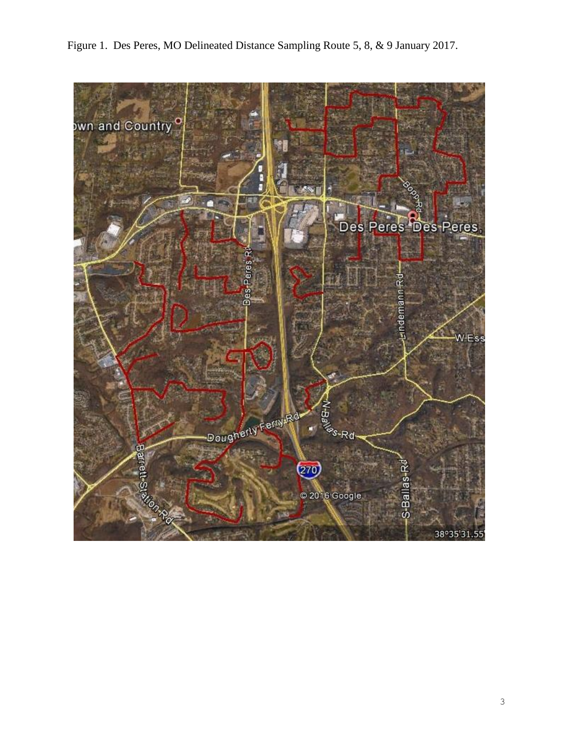

-Dougherly Ferm Rd

eg a)

 $(270)$ 

s-Rd-

© 2016 Google

**S-Ball** 

38°35'31.

55

Figure 1. Des Peres, MO Delineated Distance Sampling Route 5, 8, & 9 January 2017.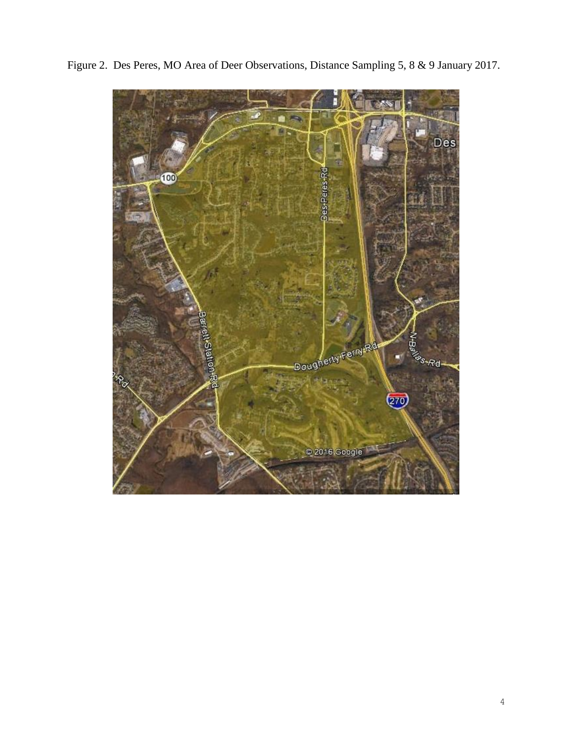

Figure 2. Des Peres, MO Area of Deer Observations, Distance Sampling 5, 8 & 9 January 2017.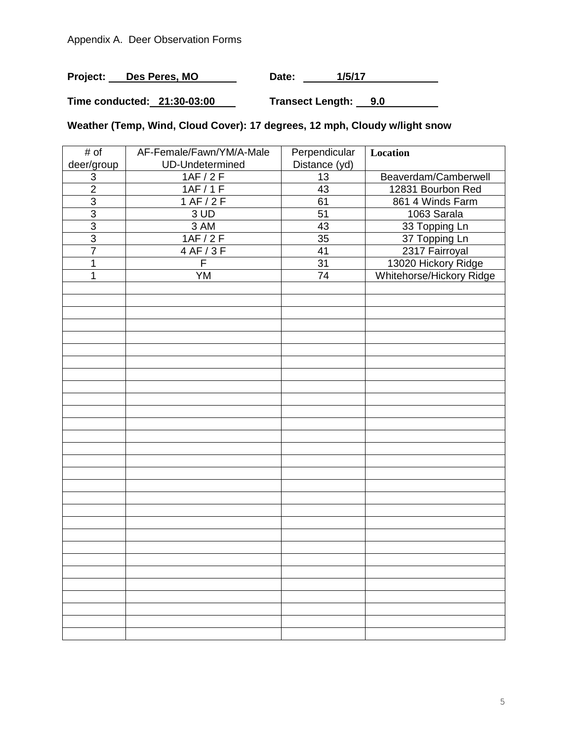# Appendix A. Deer Observation Forms

**Project:** Des Peres, MO Date: 1/5/17

**Time conducted: 21:30-03:00 Transect Length: 9.0**

**Weather (Temp, Wind, Cloud Cover): 17 degrees, 12 mph, Cloudy w/light snow**

| # of           | AF-Female/Fawn/YM/A-Male | Perpendicular   | Location                 |
|----------------|--------------------------|-----------------|--------------------------|
| deer/group     | <b>UD-Undetermined</b>   | Distance (yd)   |                          |
| 3              | 1AF/2F                   | 13              | Beaverdam/Camberwell     |
| $\overline{2}$ | 1AF/1F                   | 43              | 12831 Bourbon Red        |
| $\overline{3}$ | 1 AF/2F                  | 61              | 861 4 Winds Farm         |
| $\overline{3}$ | 3UD                      | 51              | 1063 Sarala              |
| $\overline{3}$ | 3 AM                     | 43              | 33 Topping Ln            |
| $\overline{3}$ | 1AF/2F                   | 35              | 37 Topping Ln            |
| $\overline{7}$ | 4 AF/3 F                 | $\overline{41}$ | 2317 Fairroyal           |
| 1              | $\overline{F}$           | $\overline{31}$ | 13020 Hickory Ridge      |
| 1              | <b>YM</b>                | 74              | Whitehorse/Hickory Ridge |
|                |                          |                 |                          |
|                |                          |                 |                          |
|                |                          |                 |                          |
|                |                          |                 |                          |
|                |                          |                 |                          |
|                |                          |                 |                          |
|                |                          |                 |                          |
|                |                          |                 |                          |
|                |                          |                 |                          |
|                |                          |                 |                          |
|                |                          |                 |                          |
|                |                          |                 |                          |
|                |                          |                 |                          |
|                |                          |                 |                          |
|                |                          |                 |                          |
|                |                          |                 |                          |
|                |                          |                 |                          |
|                |                          |                 |                          |
|                |                          |                 |                          |
|                |                          |                 |                          |
|                |                          |                 |                          |
|                |                          |                 |                          |
|                |                          |                 |                          |
|                |                          |                 |                          |
|                |                          |                 |                          |
|                |                          |                 |                          |
|                |                          |                 |                          |
|                |                          |                 |                          |
|                |                          |                 |                          |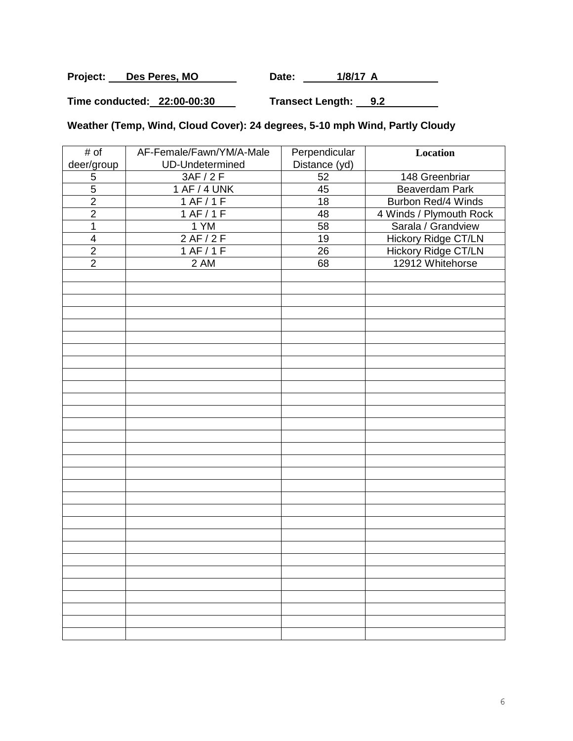**Project:** Des Peres, MO Date: 1/8/17 A

**Time conducted: 22:00-00:30 Transect Length: 9.2**

**Weather (Temp, Wind, Cloud Cover): 24 degrees, 5-10 mph Wind, Partly Cloudy**

| # of                    | AF-Female/Fawn/YM/A-Male | Perpendicular   | Location                   |
|-------------------------|--------------------------|-----------------|----------------------------|
| deer/group              | <b>UD-Undetermined</b>   | Distance (yd)   |                            |
| $\sqrt{5}$              | 3AF/2F                   | 52              | 148 Greenbriar             |
| $\overline{5}$          | 1 AF / 4 UNK             | 45              | Beaverdam Park             |
| $\overline{2}$          | 1 AF/1F                  | 18              | <b>Burbon Red/4 Winds</b>  |
| $\overline{2}$          | 1 AF/1F                  | 48              | 4 Winds / Plymouth Rock    |
| 1                       | 1 YM                     | 58              | Sarala / Grandview         |
| $\overline{\mathbf{4}}$ | 2 AF/2F                  | $\overline{19}$ | <b>Hickory Ridge CT/LN</b> |
| $\overline{2}$          | 1 AF/1F                  | 26              | Hickory Ridge CT/LN        |
| $\overline{2}$          | 2 AM                     | 68              | 12912 Whitehorse           |
|                         |                          |                 |                            |
|                         |                          |                 |                            |
|                         |                          |                 |                            |
|                         |                          |                 |                            |
|                         |                          |                 |                            |
|                         |                          |                 |                            |
|                         |                          |                 |                            |
|                         |                          |                 |                            |
|                         |                          |                 |                            |
|                         |                          |                 |                            |
|                         |                          |                 |                            |
|                         |                          |                 |                            |
|                         |                          |                 |                            |
|                         |                          |                 |                            |
|                         |                          |                 |                            |
|                         |                          |                 |                            |
|                         |                          |                 |                            |
|                         |                          |                 |                            |
|                         |                          |                 |                            |
|                         |                          |                 |                            |
|                         |                          |                 |                            |
|                         |                          |                 |                            |
|                         |                          |                 |                            |
|                         |                          |                 |                            |
|                         |                          |                 |                            |
|                         |                          |                 |                            |
|                         |                          |                 |                            |
|                         |                          |                 |                            |
|                         |                          |                 |                            |
|                         |                          |                 |                            |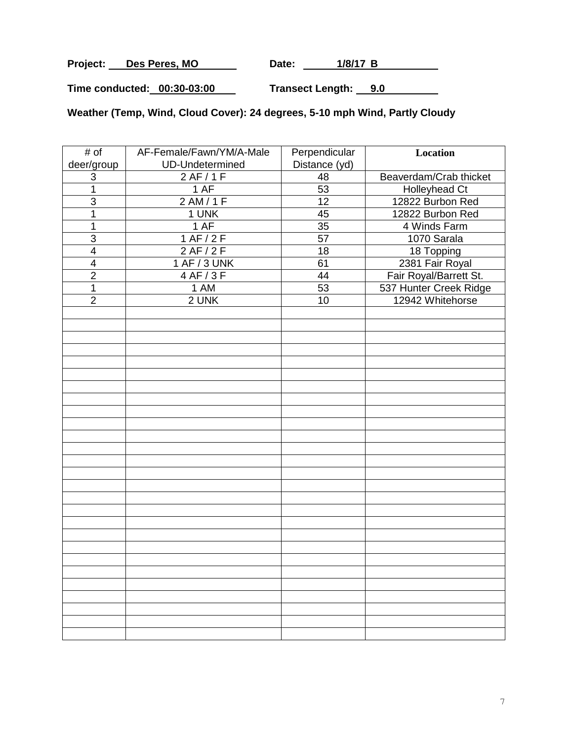Project: Des Peres, MO Date: 1/8/17 B

**Time conducted: 00:30-03:00 Transect Length: 9.0** 

**Weather (Temp, Wind, Cloud Cover): 24 degrees, 5-10 mph Wind, Partly Cloudy**

| # of<br>deer/group | AF-Female/Fawn/YM/A-Male<br>UD-Undetermined | Perpendicular<br>Distance (yd) | Location               |
|--------------------|---------------------------------------------|--------------------------------|------------------------|
| 3                  | 2 AF / 1 F                                  | 48                             | Beaverdam/Crab thicket |
| $\overline{1}$     | 1 AF                                        | $\overline{53}$                | Holleyhead Ct          |
| $\overline{3}$     | 2AM/1F                                      | 12                             | 12822 Burbon Red       |
| $\mathbf 1$        | 1 UNK                                       | 45                             | 12822 Burbon Red       |
| 1                  | 1 AF                                        | $\overline{35}$                | 4 Winds Farm           |
| $\overline{3}$     | 1 AF/2F                                     | 57                             | 1070 Sarala            |
| 4                  | 2AF/2F                                      | $\overline{18}$                | 18 Topping             |
| $\overline{4}$     | 1 AF / 3 UNK                                | 61                             | 2381 Fair Royal        |
| $\overline{2}$     | 4 AF/3 F                                    | 44                             | Fair Royal/Barrett St. |
| $\overline{1}$     | 1 AM                                        | 53                             | 537 Hunter Creek Ridge |
| $\overline{2}$     | 2 UNK                                       | 10                             | 12942 Whitehorse       |
|                    |                                             |                                |                        |
|                    |                                             |                                |                        |
|                    |                                             |                                |                        |
|                    |                                             |                                |                        |
|                    |                                             |                                |                        |
|                    |                                             |                                |                        |
|                    |                                             |                                |                        |
|                    |                                             |                                |                        |
|                    |                                             |                                |                        |
|                    |                                             |                                |                        |
|                    |                                             |                                |                        |
|                    |                                             |                                |                        |
|                    |                                             |                                |                        |
|                    |                                             |                                |                        |
|                    |                                             |                                |                        |
|                    |                                             |                                |                        |
|                    |                                             |                                |                        |
|                    |                                             |                                |                        |
|                    |                                             |                                |                        |
|                    |                                             |                                |                        |
|                    |                                             |                                |                        |
|                    |                                             |                                |                        |
|                    |                                             |                                |                        |
|                    |                                             |                                |                        |
|                    |                                             |                                |                        |
|                    |                                             |                                |                        |
|                    |                                             |                                |                        |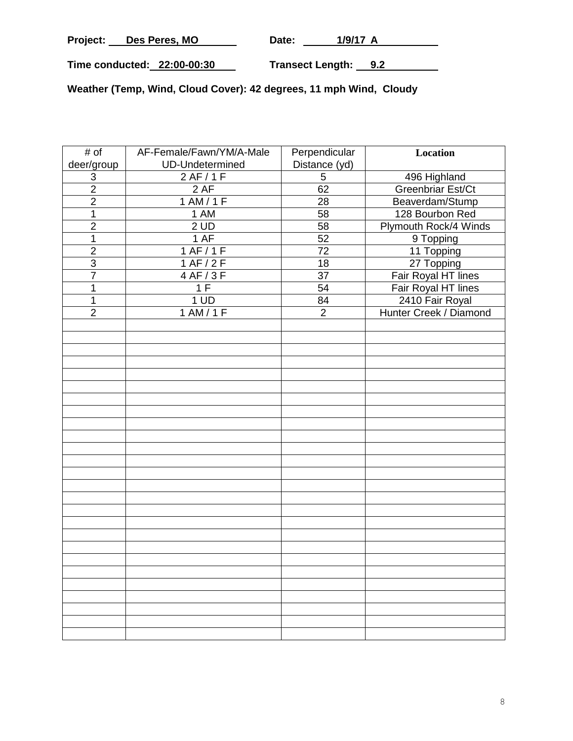| Project: | Des Peres, MO | Date: | $1/9/17$ A |  |
|----------|---------------|-------|------------|--|
|          |               |       |            |  |

**Time conducted: 22:00-00:30 Transect Length: 9.2** 

**Weather (Temp, Wind, Cloud Cover): 42 degrees, 11 mph Wind, Cloudy**

| # of                      | AF-Female/Fawn/YM/A-Male | Perpendicular   | Location               |
|---------------------------|--------------------------|-----------------|------------------------|
| deer/group                | <b>UD-Undetermined</b>   | Distance (yd)   |                        |
| $\ensuremath{\mathsf{3}}$ | 2AF/1F                   | $\overline{5}$  | 496 Highland           |
| $\overline{2}$            | 2AF                      | 62              | Greenbriar Est/Ct      |
| $\overline{2}$            | 1 AM/1 F                 | 28              | Beaverdam/Stump        |
| 1                         | 1 AM                     | 58              | 128 Bourbon Red        |
| $\overline{2}$            | 2UD                      | 58              | Plymouth Rock/4 Winds  |
| 1                         | 1 AF                     | 52              | 9 Topping              |
| $\overline{2}$            | 1 AF/1F                  | $\overline{72}$ | 11 Topping             |
| $\overline{3}$            | 1 AF/2F                  | 18              | 27 Topping             |
| $\overline{7}$            | 4 AF / 3 F               | 37              | Fair Royal HT lines    |
| 1                         | 1F                       | 54              | Fair Royal HT lines    |
| 1                         | 1 UD                     | $\overline{84}$ | 2410 Fair Royal        |
| $\overline{2}$            | 1 AM / 1 F               | $\overline{2}$  | Hunter Creek / Diamond |
|                           |                          |                 |                        |
|                           |                          |                 |                        |
|                           |                          |                 |                        |
|                           |                          |                 |                        |
|                           |                          |                 |                        |
|                           |                          |                 |                        |
|                           |                          |                 |                        |
|                           |                          |                 |                        |
|                           |                          |                 |                        |
|                           |                          |                 |                        |
|                           |                          |                 |                        |
|                           |                          |                 |                        |
|                           |                          |                 |                        |
|                           |                          |                 |                        |
|                           |                          |                 |                        |
|                           |                          |                 |                        |
|                           |                          |                 |                        |
|                           |                          |                 |                        |
|                           |                          |                 |                        |
|                           |                          |                 |                        |
|                           |                          |                 |                        |
|                           |                          |                 |                        |
|                           |                          |                 |                        |
|                           |                          |                 |                        |
|                           |                          |                 |                        |
|                           |                          |                 |                        |